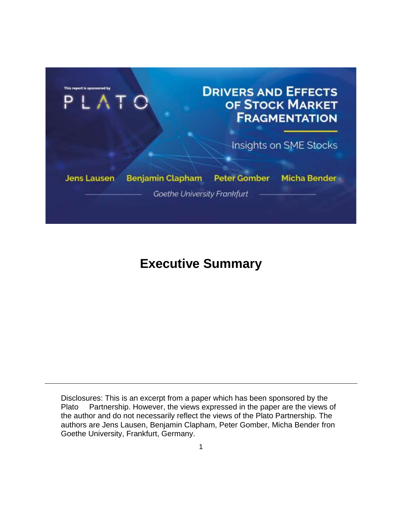

## **Executive Summary**

Disclosures: This is an excerpt from a paper which has been sponsored by the Plato Partnership. However, the views expressed in the paper are the views of the author and do not necessarily reflect the views of the Plato Partnership. The authors are Jens Lausen, Benjamin Clapham, Peter Gomber, Micha Bender fron Goethe University, Frankfurt, Germany.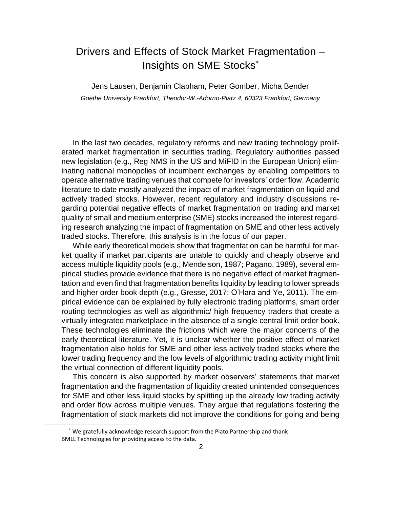## Drivers and Effects of Stock Market Fragmentation – Insights on SME Stocks\*

Jens Lausen, Benjamin Clapham, Peter Gomber, Micha Bender *Goethe University Frankfurt, Theodor-W.-Adorno-Platz 4, 60323 Frankfurt, Germany*

In the last two decades, regulatory reforms and new trading technology proliferated market fragmentation in securities trading. Regulatory authorities passed new legislation (e.g., Reg NMS in the US and MiFID in the European Union) eliminating national monopolies of incumbent exchanges by enabling competitors to operate alternative trading venues that compete for investors' order flow. Academic literature to date mostly analyzed the impact of market fragmentation on liquid and actively traded stocks. However, recent regulatory and industry discussions regarding potential negative effects of market fragmentation on trading and market quality of small and medium enterprise (SME) stocks increased the interest regarding research analyzing the impact of fragmentation on SME and other less actively traded stocks. Therefore, this analysis is in the focus of our paper.

While early theoretical models show that fragmentation can be harmful for market quality if market participants are unable to quickly and cheaply observe and access multiple liquidity pools (e.g., [Mendelson,](#page-4-0) [1987;](#page-4-0) [Pagano, 1989\)](#page-4-1), several empirical studies provide evidence that there is no negative effect of market fragmentation and even find that fragmentation benefits liquidity by leading to lower spreads and higher order book depth (e.g., [Gresse, 2017;](#page-4-2) [O'Hara and Ye, 2011\)](#page-4-3). The empirical evidence can be explained by fully electronic trading platforms, smart order routing technologies as well as algorithmic/ high frequency traders that create a virtually integrated marketplace in the absence of a single central limit order book. These technologies eliminate the frictions which were the major concerns of the early theoretical literature. Yet, it is unclear whether the positive effect of market fragmentation also holds for SME and other less actively traded stocks where the lower trading frequency and the low levels of algorithmic trading activity might limit the virtual connection of different liquidity pools.

This concern is also supported by market observers' statements that market fragmentation and the fragmentation of liquidity created unintended consequences for SME and other less liquid stocks by splitting up the already low trading activity and order flow across multiple venues. They argue that regulations fostering the fragmentation of stock markets did not improve the conditions for going and being

<sup>\*</sup> We gratefully acknowledge research support from the Plato Partnership and thank BMLL Technologies for providing access to the data.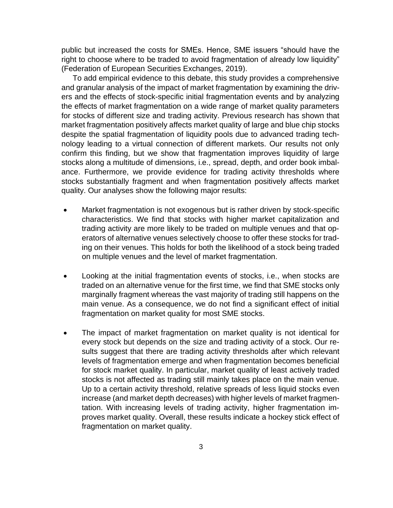public but increased the costs for SMEs. Hence, SME issuers "should have the right to choose where to be traded to avoid fragmentation of already low liquidity" [\(Federation of European](#page-4-4) [Securities Exchanges,](#page-4-4) [2019\)](#page-4-4).

To add empirical evidence to this debate, this study provides a comprehensive and granular analysis of the impact of market fragmentation by examining the drivers and the effects of stock-specific initial fragmentation events and by analyzing the effects of market fragmentation on a wide range of market quality parameters for stocks of different size and trading activity. Previous research has shown that market fragmentation positively affects market quality of large and blue chip stocks despite the spatial fragmentation of liquidity pools due to advanced trading technology leading to a virtual connection of different markets. Our results not only confirm this finding, but we show that fragmentation improves liquidity of large stocks along a multitude of dimensions, i.e., spread, depth, and order book imbalance. Furthermore, we provide evidence for trading activity thresholds where stocks substantially fragment and when fragmentation positively affects market quality. Our analyses show the following major results:

- Market fragmentation is not exogenous but is rather driven by stock-specific characteristics. We find that stocks with higher market capitalization and trading activity are more likely to be traded on multiple venues and that operators of alternative venues selectively choose to offer these stocks for trading on their venues. This holds for both the likelihood of a stock being traded on multiple venues and the level of market fragmentation.
- Looking at the initial fragmentation events of stocks, i.e., when stocks are traded on an alternative venue for the first time, we find that SME stocks only marginally fragment whereas the vast majority of trading still happens on the main venue. As a consequence, we do not find a significant effect of initial fragmentation on market quality for most SME stocks.
- The impact of market fragmentation on market quality is not identical for every stock but depends on the size and trading activity of a stock. Our results suggest that there are trading activity thresholds after which relevant levels of fragmentation emerge and when fragmentation becomes beneficial for stock market quality. In particular, market quality of least actively traded stocks is not affected as trading still mainly takes place on the main venue. Up to a certain activity threshold, relative spreads of less liquid stocks even increase (and market depth decreases) with higher levels of market fragmentation. With increasing levels of trading activity, higher fragmentation improves market quality. Overall, these results indicate a hockey stick effect of fragmentation on market quality.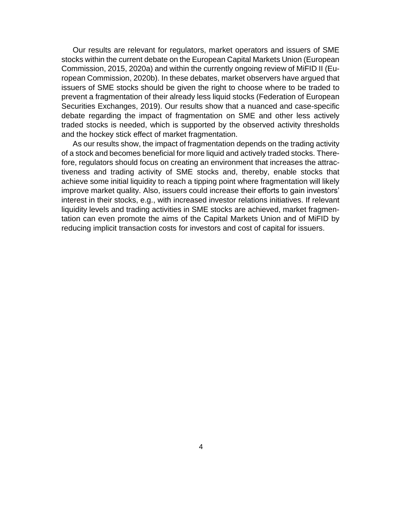Our results are relevant for regulators, market operators and issuers of SME stocks within the current debate on the European Capital Markets Union [\(European](#page-4-5) [Commission,](#page-4-5) [2015,](#page-4-5) [2020a\)](#page-4-6) and within the currently ongoing review of MiFID II [\(Eu](#page-4-7)[ropean Commission, 2020b\)](#page-4-7). In these debates, market observers have argued that issuers of SME stocks should be given the right to choose where to be traded to prevent a fragmentation of their already less liquid stocks [\(Federation of European](#page-4-4)  [Securities Exchanges, 2019\)](#page-4-4). Our results show that a nuanced and case-specific debate regarding the impact of fragmentation on SME and other less actively traded stocks is needed, which is supported by the observed activity thresholds and the hockey stick effect of market fragmentation.

As our results show, the impact of fragmentation depends on the trading activity of a stock and becomes beneficial for more liquid and actively traded stocks. Therefore, regulators should focus on creating an environment that increases the attractiveness and trading activity of SME stocks and, thereby, enable stocks that achieve some initial liquidity to reach a tipping point where fragmentation will likely improve market quality. Also, issuers could increase their efforts to gain investors' interest in their stocks, e.g., with increased investor relations initiatives. If relevant liquidity levels and trading activities in SME stocks are achieved, market fragmentation can even promote the aims of the Capital Markets Union and of MiFID by reducing implicit transaction costs for investors and cost of capital for issuers.